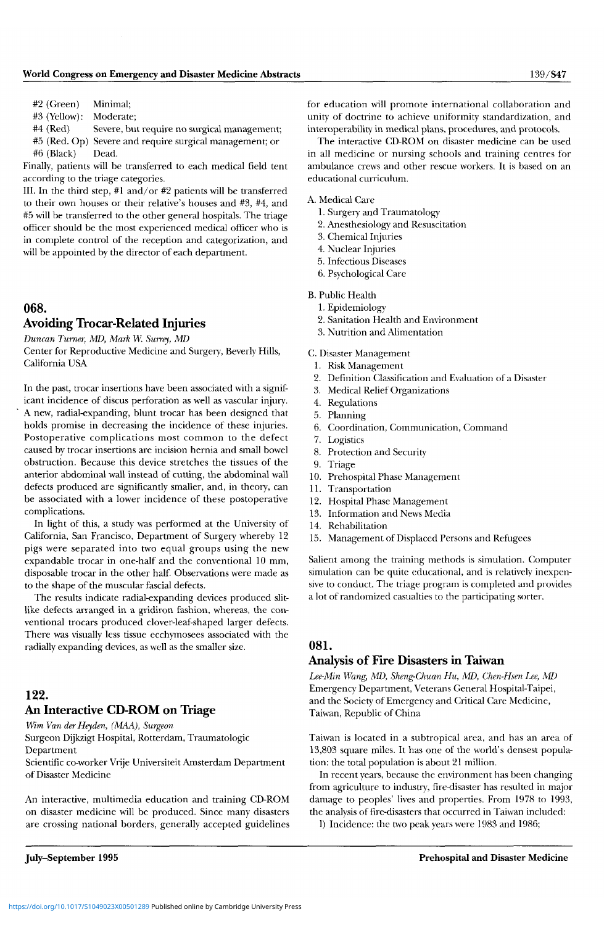#2 (Green) Minimal;

#3 (Yellow): Moderate;

#4 (Red) Severe, but require no surgical management;

#5 (Red. Op) Severe and require surgical management; or #6 (Black) Dead.

Finally, patients will be transferred to each medical field tent according to the triage categories.

III. In the third step, #1 and/or #2 patients will be transferred to their own houses or their relative's houses and #3, #4, and #5 will be transferred to the other general hospitals. The triage officer should be the most experienced medical officer who is in complete control of the reception and categorization, and will be appointed by the director of each department.

## 068.

### Avoiding Trocar-Related Injuries

*Duncan Turner, MD, Mark W. Surrey, MD* 

Center for Reproductive Medicine and Surgery, Beverly Hills, California USA

In the past, trocar insertions have been associated with a significant incidence of discus perforation as well as vascular injury. A new, radial-expanding, blunt trocar has been designed that holds promise in decreasing the incidence of these injuries. Postoperative complications most common to the defect caused by trocar insertions are incision hernia and small bowel obstruction. Because this device stretches the tissues of the anterior abdominal wall instead of cutting, the abdominal wall defects produced are significantly smaller, and, in theory, can be associated with a lower incidence of these postoperative complications.

In light of this, a study was performed at the University of California, San Francisco, Department of Surgery whereby 12 pigs were separated into two equal groups using the new expandable trocar in one-half and the conventional 10 mm, disposable trocar in the other half. Observations were made as to the shape of the muscular fascial defects.

The results indicate radial-expanding devices produced slitlike defects arranged in a gridiron fashion, whereas, the conventional trocars produced clover-leaf-shaped larger defects. There was visually less tissue ecchymosees associated with the radially expanding devices, as well as the smaller size.

## 122. An Interactive CD-ROM on Triage

*Wim Van derHeyden, (MAA), Surgeon* 

Surgeon Dijkzigt Hospital, Rotterdam, Traumatologic Department

Scientific co-worker Vrije Universiteit Amsterdam Department of Disaster Medicine

An interactive, multimedia education and training CD-ROM on disaster medicine will be produced. Since many disasters are crossing national borders, generally accepted guidelines

for education will promote international collaboration and unity of doctrine to achieve uniformity standardization, and interoperability in medical plans, procedures, and protocols.

The interactive CD-ROM on disaster medicine can be used in all medicine or nursing schools and training centres for ambulance crews and other rescue workers. It is based on an educational curriculum.

#### A. Medical Care

- 1. Surgery and Traumatology
- 2. Anesthesiology and Resuscitation
- 3. Chemical Injuries
- 4. Nuclear Injuries
- 5. Infectious Diseases
- 6. Psychological Care

#### B. Public Health

- 1. Epidemiology
- 2. Sanitation Health and Environment
- 3. Nutrition and Alimentation

C. Disaster Management

- 1. Risk Management
- 2. Definition Classification and Evaluation of a Disaster
- 3. Medical Relief Organizations
- 4. Regulations
- 5. Planning
- 6. Coordination, Communication, Command
- 7. Logistics
- 8. Protection and Security
- 9. Triage
- 10. Prehospital Phase Management
- 11. Transportation
- 12. Hospital Phase Management
- 13. Information and News Media
- 14. Rehabilitation
- 15. Management of Displaced Persons and Refugees

Salient among the training methods is simulation. Computer simulation can be quite educational, and is relatively inexpensive to conduct. The triage program is completed and provides a lot of randomized casualties to the participating sorter.

#### 081.

### Analysis of Fire Disasters in Taiwan

*Lee-Min Wang, MD, Sheng-Chuan Hu, MD, Chen-Hsen Lee, MD*  Emergency Department, Veterans General Hospital-Taipei, and the Society of Emergency and Critical Care Medicine, Taiwan, Republic of China

Taiwan is located in a subtropical area, and has an area of 13,803 square miles. It has one of the world's densest population: the total population is about 21 million.

In recent years, because the environment has been changing from agriculture to industry, fire-disaster has resulted in major damage to peoples' lives and properties. From 1978 to 1993, the analysis of fire-disasters that occurred in Taiwan included:

1) Incidence: the two peak years were 1983 and 1986;